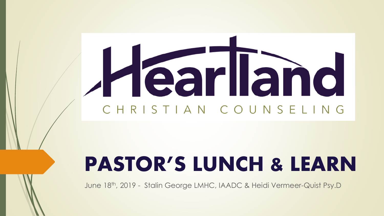# Hearland CHRISTIAN COUNSELING

## PASTOR'S LUNCH & LEARN

June 18th, 2019 - Stalin George LMHC, IAADC & Heidi Vermeer-Quist Psy.D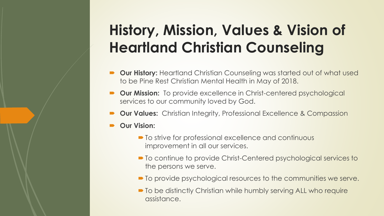#### **History, Mission, Values & Vision of Heartland Christian Counseling**

- **Our History:** Heartland Christian Counseling was started out of what used to be Pine Rest Christian Mental Health in May of 2018.
- **Our Mission:** To provide excellence in Christ-centered psychological services to our community loved by God.
- **Our Values:** Christian Integrity, Professional Excellence & Compassion
- **Our Vision:** 
	- $\blacksquare$  To strive for professional excellence and continuous improvement in all our services.
	- To continue to provide Christ-Centered psychological services to the persons we serve.
	- $\blacksquare$  To provide psychological resources to the communities we serve.
	- $\blacksquare$  To be distinctly Christian while humbly serving ALL who require assistance.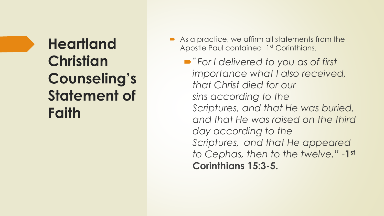### **Heartland Christian Counseling's Statement of Faith**

As a practice, we affirm all statements from the Apostle Paul contained 1st Corinthians.

 *" For I delivered to you as of first importance what I also received, that Christ died for our sins according to the Scriptures, and that He was buried, and that He was raised on the third day according to the Scriptures, and that He appeared to Cephas, then to the twelve." -***1 st Corinthians 15:3-5.**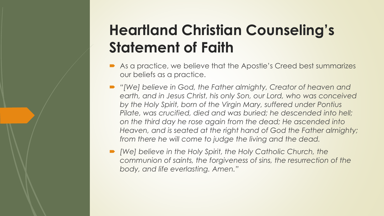### **Heartland Christian Counseling's Statement of Faith**

- As a practice, we believe that the Apostle's Creed best summarizes our beliefs as a practice.
- *"[We] believe in God, the Father almighty, Creator of heaven and*  earth, and in Jesus Christ, his only Son, our Lord, who was conceived *by the Holy Spirit, born of the Virgin Mary, suffered under Pontius Pilate, was crucified, died and was buried; he descended into hell; on the third day he rose again from the dead; He ascended into Heaven, and is seated at the right hand of God the Father almighty; from there he will come to judge the living and the dead.*
- *[We] believe in the Holy Spirit, the Holy Catholic Church, the communion of saints, the forgiveness of sins, the resurrection of the body, and life everlasting. Amen."*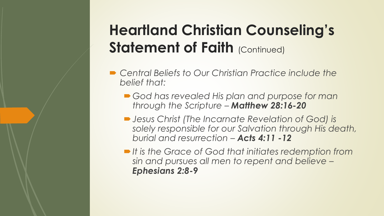### **Heartland Christian Counseling's Statement of Faith (Continued)**

- Central Beliefs to Our Christian Practice include the *belief that:*
	- *God has revealed His plan and purpose for man through the Scripture – Matthew 28:16-20*
	- *Jesus Christ (The Incarnate Revelation of God) is solely responsible for our Salvation through His death, burial and resurrection – Acts 4:11 -12*
	- *It is the Grace of God that initiates redemption from sin and pursues all men to repent and believe – Ephesians 2:8-9*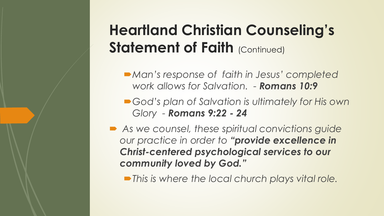### **Heartland Christian Counseling's Statement of Faith (Continued)**

- *Man's response of faith in Jesus' completed work allows for Salvation. - Romans 10:9*
- God's plan of Salvation is ultimately for His own *Glory - Romans 9:22 - 24*
- *As we counsel, these spiritual convictions guide our practice in order to "provide excellence in Christ-centered psychological services to our community loved by God."*
	- *This is where the local church plays vital role.*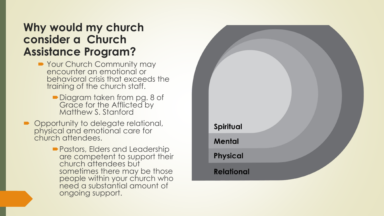#### **Why would my church consider a Church Assistance Program?**

- Your Church Community may encounter an emotional or behavioral crisis that exceeds the training of the church staff.
	- Diagram taken from pg. 8 of Grace for the Afflicted by Matthew S. Stanford
- Opportunity to delegate relational, physical and emotional care for church attendees.
	- Pastors, Elders and Leadership are competent to support their church attendees but sometimes there may be those people within your church who need a substantial amount of ongoing support.

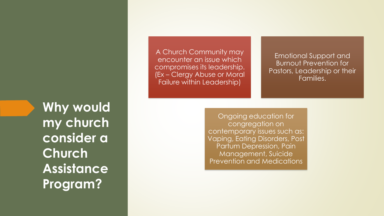Why would **my church consider a Church Assistance Program?**

A Church Community may encounter an issue which compromises its leadership. (Ex – Clergy Abuse or Moral Failure within Leadership)

Emotional Support and Burnout Prevention for Pastors, Leadership or their Families.

Ongoing education for congregation on contemporary issues such as: Vaping, Eating Disorders, Post Partum Depression, Pain Management, Suicide Prevention and Medications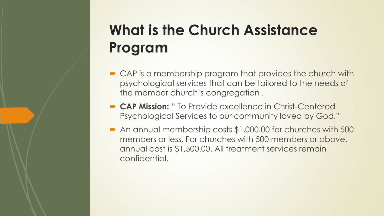### **What is the Church Assistance Program**

- **► CAP** is a membership program that provides the church with psychological services that can be tailored to the needs of the member church's congregation .
- **CAP Mission:** " To Provide excellence in Christ-Centered Psychological Services to our community loved by God."
- An annual membership costs \$1,000.00 for churches with 500 members or less. For churches with 500 members or above, annual cost is \$1,500.00. All treatment services remain confidential.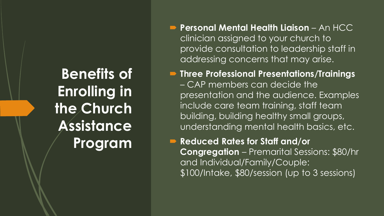**Benefits of Enrolling in the Church Assistance Program**

- **Personal Mental Health Liaison** An HCC clinician assigned to your church to provide consultation to leadership staff in addressing concerns that may arise.
- **Three Professional Presentations/Trainings**  – CAP members can decide the presentation and the audience. Examples include care team training, staff team building, building healthy small groups, understanding mental health basics, etc.
- **Reduced Rates for Staff and/or Congregation** – Premarital Sessions: \$80/hr and Individual/Family/Couple: \$100/Intake, \$80/session (up to 3 sessions)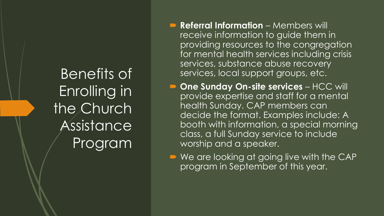Benefits of Enrolling in the Church Assistance Program

- **Referral Information** Members will receive information to guide them in providing resources to the congregation for mental health services including crisis services, substance abuse recovery services, local support groups, etc.
- **D** One Sunday On-site services HCC will provide expertise and staff for a mental health Sunday. CAP members can decide the format. Examples include: A booth with information, a special morning class, a full Sunday service to include worship and a speaker.
- We are looking at going live with the CAP program in September of this year.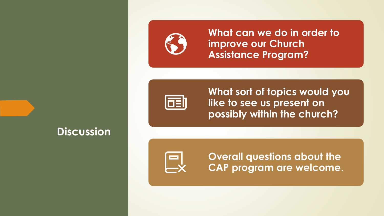

**What can we do in order to improve our Church Assistance Program?**



**What sort of topics would you like to see us present on possibly within the church?**



**Discussion**

**Overall questions about the CAP program are welcome**.